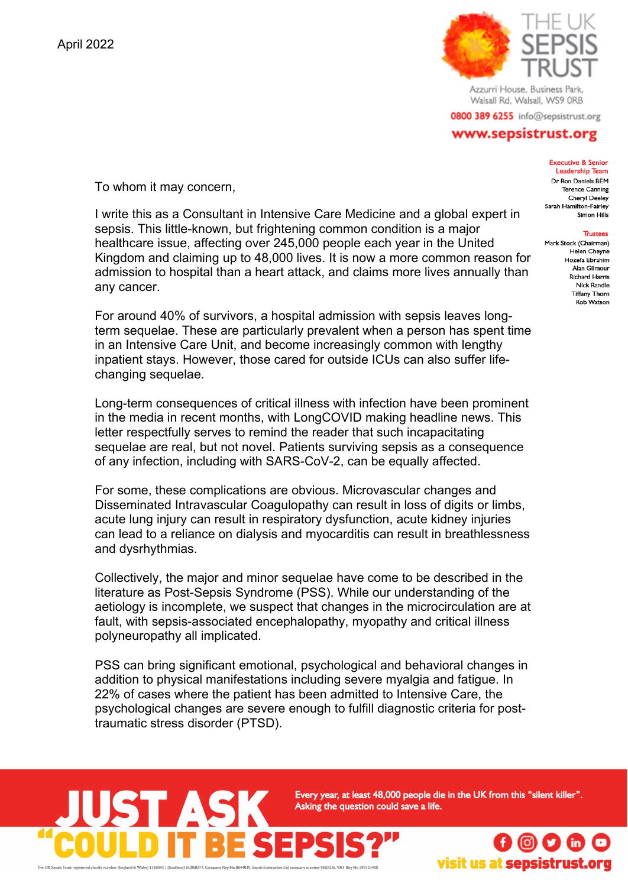

Azzurri House, Business Park, Walsall Rd, Walsall, WS9 ORB

0800 389 6255 info@sepsistrust.org

## www.sepsistrust.org

**Executive & Senior Leadership Team** Dr Ron Daniels BEM

**Terence Canning** Cheryl Deeley Sarah Hamilton-Fairley Simon Hills **Trustees** Mark Stock (Chairman) Helen Cheyne Hozefa Ebrahim Alan Gilmour **Richard Harris Nick Randle Tiffany Thorn** Rob Watson

To whom it may concern,

I write this as a Consultant in Intensive Care Medicine and a global expert in sepsis. This little-known, but frightening common condition is a major healthcare issue, affecting over 245,000 people each year in the United Kingdom and claiming up to 48,000 lives. It is now a more common reason for admission to hospital than a heart attack, and claims more lives annually than any cancer.

For around 40% of survivors, a hospital admission with sepsis leaves longterm sequelae. These are particularly prevalent when a person has spent time in an Intensive Care Unit, and become increasingly common with lengthy inpatient stays. However, those cared for outside ICUs can also suffer lifechanging sequelae.

Long-term consequences of critical illness with infection have been prominent in the media in recent months, with LongCOVID making headline news. This letter respectfully serves to remind the reader that such incapacitating sequelae are real, but not novel. Patients surviving sepsis as a consequence of any infection, including with SARS-CoV-2, can be equally affected.

For some, these complications are obvious. Microvascular changes and Disseminated Intravascular Coagulopathy can result in loss of digits or limbs, acute lung injury can result in respiratory dysfunction, acute kidney injuries can lead to a reliance on dialysis and myocarditis can result in breathlessness and dysrhythmias.

Collectively, the major and minor sequelae have come to be described in the literature as Post-Sepsis Syndrome (PSS). While our understanding of the aetiology is incomplete, we suspect that changes in the microcirculation are at fault, with sepsis-associated encephalopathy, myopathy and critical illness polyneuropathy all implicated.

PSS can bring significant emotional, psychological and behavioral changes in addition to physical manifestations including severe myalgia and fatigue. In 22% of cases where the patient has been admitted to Intensive Care, the psychological changes are severe enough to fulfill diagnostic criteria for posttraumatic stress disorder (PTSD).

> Every year, at least 48,000 people die in the UK from this "silent killer". Asking the question could save a life.



**ASK**